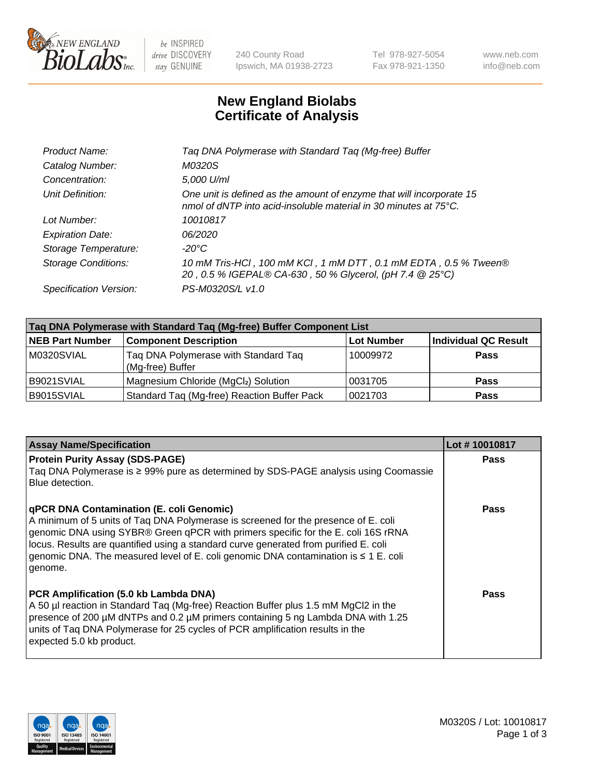

 $be$  INSPIRED drive DISCOVERY stay GENUINE

240 County Road Ipswich, MA 01938-2723 Tel 978-927-5054 Fax 978-921-1350 www.neb.com info@neb.com

## **New England Biolabs Certificate of Analysis**

| Product Name:              | Taq DNA Polymerase with Standard Taq (Mg-free) Buffer                                                                                    |
|----------------------------|------------------------------------------------------------------------------------------------------------------------------------------|
| Catalog Number:            | M0320S                                                                                                                                   |
| Concentration:             | 5,000 U/ml                                                                                                                               |
| Unit Definition:           | One unit is defined as the amount of enzyme that will incorporate 15<br>nmol of dNTP into acid-insoluble material in 30 minutes at 75°C. |
| Lot Number:                | 10010817                                                                                                                                 |
| <b>Expiration Date:</b>    | 06/2020                                                                                                                                  |
| Storage Temperature:       | $-20^{\circ}$ C                                                                                                                          |
| <b>Storage Conditions:</b> | 10 mM Tris-HCl, 100 mM KCl, 1 mM DTT, 0.1 mM EDTA, 0.5 % Tween®<br>20, 0.5 % IGEPAL® CA-630, 50 % Glycerol, (pH 7.4 @ 25°C)              |
| Specification Version:     | PS-M0320S/L v1.0                                                                                                                         |

| Taq DNA Polymerase with Standard Taq (Mg-free) Buffer Component List |                                                          |                   |                      |  |
|----------------------------------------------------------------------|----------------------------------------------------------|-------------------|----------------------|--|
| <b>NEB Part Number</b>                                               | <b>Component Description</b>                             | <b>Lot Number</b> | Individual QC Result |  |
| M0320SVIAL                                                           | Taq DNA Polymerase with Standard Taq<br>(Mg-free) Buffer | 10009972          | <b>Pass</b>          |  |
| B9021SVIAL                                                           | Magnesium Chloride (MgCl2) Solution                      | 10031705          | <b>Pass</b>          |  |
| B9015SVIAL                                                           | Standard Taq (Mg-free) Reaction Buffer Pack              | 10021703          | <b>Pass</b>          |  |

| <b>Assay Name/Specification</b>                                                                                                                                                                                                                                                                                                                                                                                           | Lot #10010817 |
|---------------------------------------------------------------------------------------------------------------------------------------------------------------------------------------------------------------------------------------------------------------------------------------------------------------------------------------------------------------------------------------------------------------------------|---------------|
| <b>Protein Purity Assay (SDS-PAGE)</b><br>Taq DNA Polymerase is ≥ 99% pure as determined by SDS-PAGE analysis using Coomassie<br>Blue detection.                                                                                                                                                                                                                                                                          | <b>Pass</b>   |
| <b>qPCR DNA Contamination (E. coli Genomic)</b><br>A minimum of 5 units of Taq DNA Polymerase is screened for the presence of E. coli<br>genomic DNA using SYBR® Green qPCR with primers specific for the E. coli 16S rRNA<br>locus. Results are quantified using a standard curve generated from purified E. coli<br>genomic DNA. The measured level of E. coli genomic DNA contamination is $\leq 1$ E. coli<br>genome. | Pass          |
| PCR Amplification (5.0 kb Lambda DNA)<br>A 50 µl reaction in Standard Taq (Mg-free) Reaction Buffer plus 1.5 mM MgCl2 in the<br>presence of 200 μM dNTPs and 0.2 μM primers containing 5 ng Lambda DNA with 1.25<br>units of Tag DNA Polymerase for 25 cycles of PCR amplification results in the<br>expected 5.0 kb product.                                                                                             | Pass          |

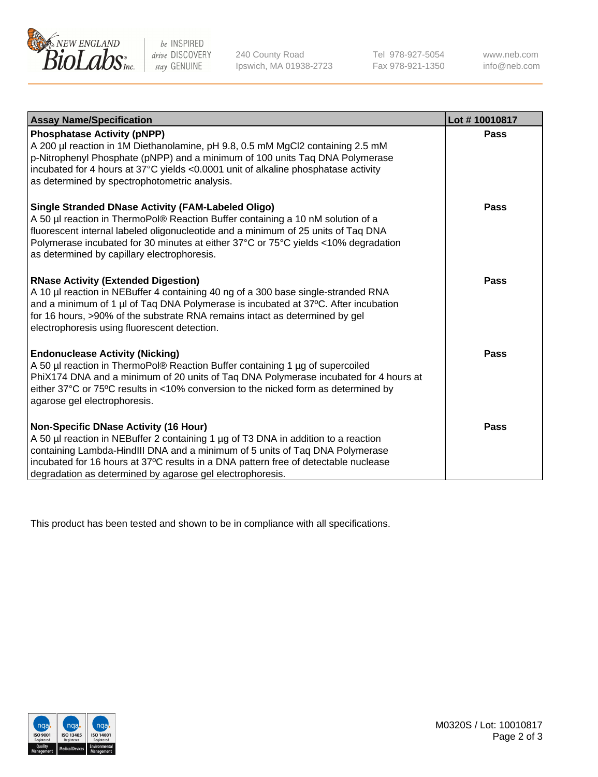

be INSPIRED drive DISCOVERY stay GENUINE

240 County Road Ipswich, MA 01938-2723 Tel 978-927-5054 Fax 978-921-1350 www.neb.com info@neb.com

| <b>Assay Name/Specification</b>                                                                                                                                                                                                                                                                                                                                        | Lot #10010817 |
|------------------------------------------------------------------------------------------------------------------------------------------------------------------------------------------------------------------------------------------------------------------------------------------------------------------------------------------------------------------------|---------------|
| <b>Phosphatase Activity (pNPP)</b><br>A 200 µl reaction in 1M Diethanolamine, pH 9.8, 0.5 mM MgCl2 containing 2.5 mM<br>p-Nitrophenyl Phosphate (pNPP) and a minimum of 100 units Taq DNA Polymerase<br>incubated for 4 hours at 37°C yields <0.0001 unit of alkaline phosphatase activity<br>as determined by spectrophotometric analysis.                            | <b>Pass</b>   |
| <b>Single Stranded DNase Activity (FAM-Labeled Oligo)</b><br>A 50 µl reaction in ThermoPol® Reaction Buffer containing a 10 nM solution of a<br>fluorescent internal labeled oligonucleotide and a minimum of 25 units of Taq DNA<br>Polymerase incubated for 30 minutes at either 37°C or 75°C yields <10% degradation<br>as determined by capillary electrophoresis. | Pass          |
| <b>RNase Activity (Extended Digestion)</b><br>A 10 µl reaction in NEBuffer 4 containing 40 ng of a 300 base single-stranded RNA<br>and a minimum of 1 µl of Taq DNA Polymerase is incubated at 37°C. After incubation<br>for 16 hours, >90% of the substrate RNA remains intact as determined by gel<br>electrophoresis using fluorescent detection.                   | Pass          |
| <b>Endonuclease Activity (Nicking)</b><br>A 50 µl reaction in ThermoPol® Reaction Buffer containing 1 µg of supercoiled<br>PhiX174 DNA and a minimum of 20 units of Taq DNA Polymerase incubated for 4 hours at<br>either 37°C or 75°C results in <10% conversion to the nicked form as determined by<br>agarose gel electrophoresis.                                  | Pass          |
| <b>Non-Specific DNase Activity (16 Hour)</b><br>A 50 µl reaction in NEBuffer 2 containing 1 µg of T3 DNA in addition to a reaction<br>containing Lambda-HindIII DNA and a minimum of 5 units of Taq DNA Polymerase<br>incubated for 16 hours at 37°C results in a DNA pattern free of detectable nuclease<br>degradation as determined by agarose gel electrophoresis. | Pass          |

This product has been tested and shown to be in compliance with all specifications.